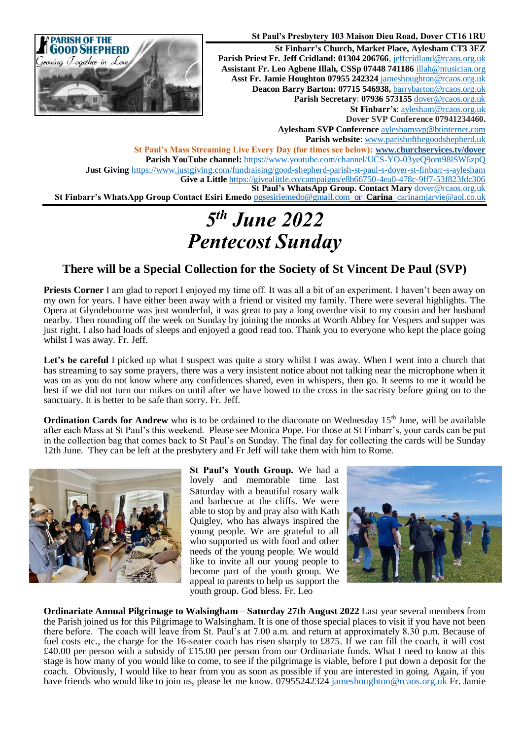

# *5 th June 2022 Pentecost Sunday*

# **There will be a Special Collection for the Society of St Vincent De Paul (SVP)**

**Priests Corner** I am glad to report I enjoyed my time off. It was all a bit of an experiment. I haven't been away on my own for years. I have either been away with a friend or visited my family. There were several highlights. The Opera at Glyndebourne was just wonderful, it was great to pay a long overdue visit to my cousin and her husband nearby. Then rounding off the week on Sunday by joining the monks at Worth Abbey for Vespers and supper was just right. I also had loads of sleeps and enjoyed a good read too. Thank you to everyone who kept the place going whilst I was away. Fr. Jeff.

Let's be careful I picked up what I suspect was quite a story whilst I was away. When I went into a church that has streaming to say some prayers, there was a very insistent notice about not talking near the microphone when it was on as you do not know where any confidences shared, even in whispers, then go. It seems to me it would be best if we did not turn our mikes on until after we have bowed to the cross in the sacristy before going on to the sanctuary. It is better to be safe than sorry. Fr. Jeff.

**Ordination Cards for Andrew** who is to be ordained to the diaconate on Wednesday 15<sup>th</sup> June, will be available after each Mass at St Paul's this weekend. Please see Monica Pope. For those at St Finbarr's, your cards can be put in the collection bag that comes back to St Paul's on Sunday. The final day for collecting the cards will be Sunday 12th June. They can be left at the presbytery and Fr Jeff will take them with him to Rome.



**St Paul's Youth Group.** We had a lovely and memorable time last Saturday with a beautiful rosary walk and barbecue at the cliffs. We were able to stop by and pray also with Kath Quigley, who has always inspired the young people. We are grateful to all who supported us with food and other needs of the young people. We would like to invite all our young people to become part of the youth group. We appeal to parents to help us support the youth group. God bless. Fr. Leo



**Ordinariate Annual Pilgrimage to Walsingham – Saturday 27th August 2022** Last year several member**s** from the Parish joined us for this Pilgrimage to Walsingham. It is one of those special places to visit if you have not been there before. The coach will leave from St. Paul's at 7.00 a.m. and return at approximately 8.30 p.m. Because of fuel costs etc., the charge for the 16-seater coach has risen sharply to £875. If we can fill the coach, it will cost £40.00 per person with a subsidy of £15.00 per person from our Ordinariate funds. What I need to know at this stage is how many of you would like to come, to see if the pilgrimage is viable, before I put down a deposit for the coach. Obviously, I would like to hear from you as soon as possible if you are interested in going. Again, if you have friends who would like to join us, please let me know. 07955242324 [jameshoughton@rcaos.org.uk](mailto:jameshoughton@rcaos.org.uk) Fr. Jamie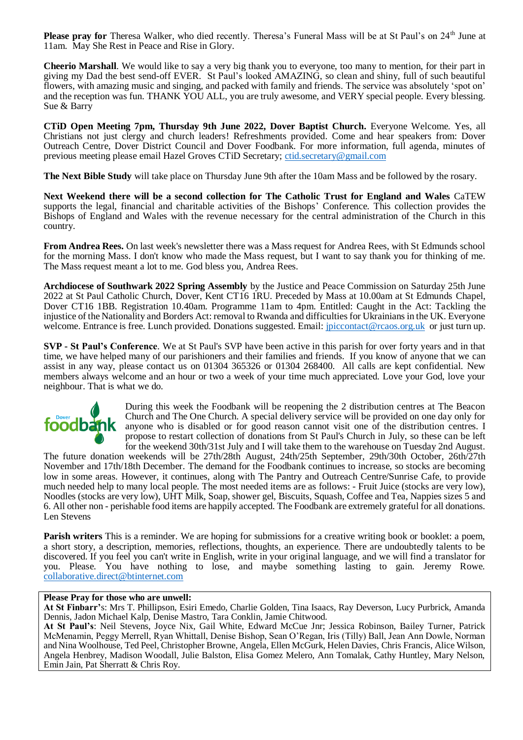Please pray for Theresa Walker, who died recently. Theresa's Funeral Mass will be at St Paul's on 24<sup>th</sup> June at 11am. May She Rest in Peace and Rise in Glory.

**Cheerio Marshall**. We would like to say a very big thank you to everyone, too many to mention, for their part in giving my Dad the best send-off EVER. St Paul's looked AMAZING, so clean and shiny, full of such beautiful flowers, with amazing music and singing, and packed with family and friends. The service was absolutely 'spot on' and the reception was fun. THANK YOU ALL, you are truly awesome, and VERY special people. Every blessing. Sue & Barry

**CTiD Open Meeting 7pm, Thursday 9th June 2022, Dover Baptist Church.** Everyone Welcome. Yes, all Christians not just clergy and church leaders! Refreshments provided. Come and hear speakers from: Dover Outreach Centre, Dover District Council and Dover Foodbank. For more information, full agenda, minutes of previous meeting please email Hazel Groves CTiD Secretary; [ctid.secretary@gmail.com](mailto:ctid.secretary@gmail.com)

**The Next Bible Study** will take place on Thursday June 9th after the 10am Mass and be followed by the rosary.

**Next Weekend there will be a second collection for The Catholic Trust for England and Wales** CaTEW supports the legal, financial and charitable activities of the Bishops' Conference. This collection provides the Bishops of England and Wales with the revenue necessary for the central administration of the Church in this country.

**From Andrea Rees.** On last week's newsletter there was a Mass request for Andrea Rees, with St Edmunds school for the morning Mass. I don't know who made the Mass request, but I want to say thank you for thinking of me. The Mass request meant a lot to me. God bless you, Andrea Rees.

**Archdiocese of Southwark 2022 Spring Assembly** by the Justice and Peace Commission on Saturday 25th June 2022 at St Paul Catholic Church, Dover, Kent CT16 1RU. Preceded by Mass at 10.00am at St Edmunds Chapel, Dover CT16 1BB. Registration 10.40am. Programme 11am to 4pm. Entitled: Caught in the Act: Tackling the injustice of the Nationality and Borders Act: removal to Rwanda and difficulties for Ukrainians in the UK. Everyone welcome. Entrance is free. Lunch provided. Donations suggested. Email: [jpiccontact@rcaos.org.uk](mailto:jpiccontact@rcaos.org.uk) or just turn up.

**SVP - St Paul's Conference**. We at St Paul's SVP have been active in this parish for over forty years and in that time, we have helped many of our parishioners and their families and friends. If you know of anyone that we can assist in any way, please contact us on 01304 365326 or 01304 268400. All calls are kept confidential. New members always welcome and an hour or two a week of your time much appreciated. Love your God, love your neighbour. That is what we do.



During this week the Foodbank will be reopening the 2 distribution centres at The Beacon Church and The One Church. A special delivery service will be provided on one day only for **TOOCD211K** anyone who is disabled or for good reason cannot visit one of the distribution centres. I propose to restart collection of donations from St Paul's Church in July, so these can be left for the weekend 30th/31st July and I will take them to the warehouse on Tuesday 2nd August.

The future donation weekends will be 27th/28th August, 24th/25th September, 29th/30th October, 26th/27th November and 17th/18th December. The demand for the Foodbank continues to increase, so stocks are becoming low in some areas. However, it continues, along with The Pantry and Outreach Centre/Sunrise Cafe, to provide much needed help to many local people. The most needed items are as follows: - Fruit Juice (stocks are very low), Noodles (stocks are very low), UHT Milk, Soap, shower gel, Biscuits, Squash, Coffee and Tea, Nappies sizes 5 and 6. All other non - perishable food items are happily accepted. The Foodbank are extremely grateful for all donations. Len Stevens

**Parish writers** This is a reminder. We are hoping for submissions for a creative writing book or booklet: a poem, a short story, a description, memories, reflections, thoughts, an experience. There are undoubtedly talents to be discovered. If you feel you can't write in English, write in your original language, and we will find a translator for you. Please. You have nothing to lose, and maybe something lasting to gain. Jeremy Rowe. [collaborative.direct@btinternet.com](mailto:collaborative.direct@btinternet.com)

#### **Please Pray for those who are unwell:**

**At St Finbarr'**s: Mrs T. Phillipson, Esiri Emedo, Charlie Golden, Tina Isaacs, Ray Deverson, Lucy Purbrick, Amanda Dennis, Jadon Michael Kalp, Denise Mastro, Tara Conklin, Jamie Chitwood.

**At St Paul's**: Neil Stevens, Joyce Nix, Gail White, Edward McCue Jnr; Jessica Robinson, Bailey Turner, Patrick McMenamin, Peggy Merrell, Ryan Whittall, Denise Bishop, Sean O'Regan, Iris (Tilly) Ball, Jean Ann Dowle, Norman and Nina Woolhouse, Ted Peel, Christopher Browne, Angela, Ellen McGurk, Helen Davies, Chris Francis, Alice Wilson, Angela Henbrey, Madison Woodall, Julie Balston, Elisa Gomez Melero, Ann Tomalak, Cathy Huntley, Mary Nelson, Emin Jain, Pat Sherratt & Chris Roy. —<br>—<br><br><br><br><br><br><br><br><br><br><br><br><br><br><br><br><br><br>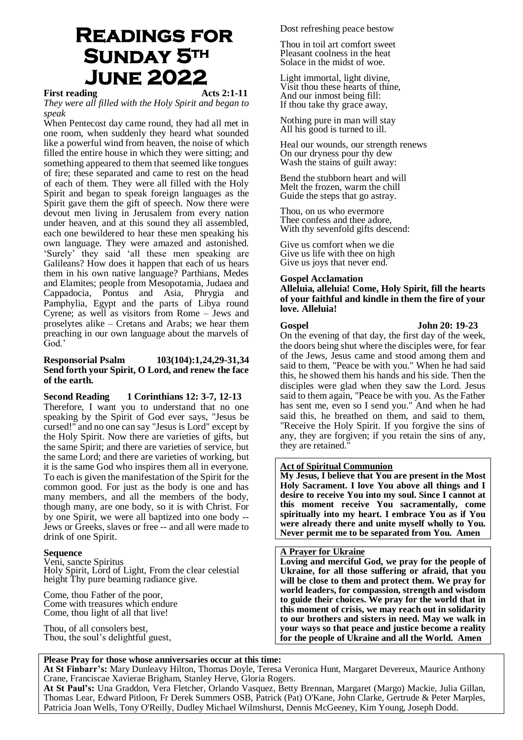# **Readings for Sunday 5th June 2022**

# First reading **Acts** 2:1-11

*They were all filled with the Holy Spirit and began to speak*

When Pentecost day came round, they had all met in one room, when suddenly they heard what sounded like a powerful wind from heaven, the noise of which filled the entire house in which they were sitting; and something appeared to them that seemed like tongues of fire; these separated and came to rest on the head of each of them. They were all filled with the Holy Spirit and began to speak foreign languages as the Spirit gave them the gift of speech. Now there were devout men living in Jerusalem from every nation under heaven, and at this sound they all assembled, each one bewildered to hear these men speaking his own language. They were amazed and astonished. 'Surely' they said 'all these men speaking are Galileans? How does it happen that each of us hears them in his own native language? Parthians, Medes and Elamites; people from Mesopotamia, Judaea and Cappadocia, Pontus and Asia, Phrygia and Pamphylia, Egypt and the parts of Libya round Cyrene; as well as visitors from Rome – Jews and proselytes alike – Cretans and Arabs; we hear them preaching in our own language about the marvels of God.'

### **Responsorial Psalm 103(104):1,24,29-31,34 Send forth your Spirit, O Lord, and renew the face of the earth.**

# **Second Reading 1 Corinthians 12: 3-7, 12-13**

Therefore, I want you to understand that no one speaking by the Spirit of God ever says, "Jesus be cursed!" and no one can say "Jesus is Lord" except by the Holy Spirit. Now there are varieties of gifts, but the same Spirit; and there are varieties of service, but the same Lord; and there are varieties of working, but it is the same God who inspires them all in everyone. To each is given the manifestation of the Spirit for the common good. For just as the body is one and has many members, and all the members of the body, though many, are one body, so it is with Christ. For by one Spirit, we were all baptized into one body -- Jews or Greeks, slaves or free -- and all were made to drink of one Spirit.

#### **Sequence**

Veni, sancte Spiritus Holy Spirit, Lord of Light, From the clear celestial height Thy pure beaming radiance give.

Come, thou Father of the poor, Come with treasures which endure Come, thou light of all that live!

Thou, of all consolers best, Thou, the soul's delightful guest, Dost refreshing peace bestow

Thou in toil art comfort sweet Pleasant coolness in the heat Solace in the midst of woe.

Light immortal, light divine, Visit thou these hearts of thine, And our inmost being fill: If thou take thy grace away,

Nothing pure in man will stay All his good is turned to ill.

Heal our wounds, our strength renews On our dryness pour thy dew Wash the stains of guilt away:

Bend the stubborn heart and will Melt the frozen, warm the chill Guide the steps that go astray.

Thou, on us who evermore Thee confess and thee adore, With thy sevenfold gifts descend:

Give us comfort when we die Give us life with thee on high Give us joys that never end.

### **Gospel Acclamation**

**Alleluia, alleluia! Come, Holy Spirit, fill the hearts of your faithful and kindle in them the fire of your love. Alleluia!**

#### **Gospel John 20: 19-23**

On the evening of that day, the first day of the week, the doors being shut where the disciples were, for fear of the Jews, Jesus came and stood among them and said to them, "Peace be with you." When he had said this, he showed them his hands and his side. Then the disciples were glad when they saw the Lord. Jesus said to them again, "Peace be with you. As the Father has sent me, even so I send you." And when he had said this, he breathed on them, and said to them, "Receive the Holy Spirit. If you forgive the sins of any, they are forgiven; if you retain the sins of any, they are retained."

# **Act of Spiritual Communion**

**My Jesus, I believe that You are present in the Most Holy Sacrament. I love You above all things and I desire to receive You into my soul. Since I cannot at this moment receive You sacramentally, come spiritually into my heart. I embrace You as if You were already there and unite myself wholly to You. Never permit me to be separated from You. Amen**

#### **A Prayer for Ukraine**

**Loving and merciful God, we pray for the people of Ukraine, for all those suffering or afraid, that you will be close to them and protect them. We pray for world leaders, for compassion, strength and wisdom to guide their choices. We pray for the world that in this moment of crisis, we may reach out in solidarity to our brothers and sisters in need. May we walk in your ways so that peace and justice become a reality for the people of Ukraine and all the World. Amen**

# **Please Pray for those whose anniversaries occur at this time:**

**At St Finbarr's:** Mary Dunleavy Hilton, Thomas Doyle, Teresa Veronica Hunt, Margaret Devereux, Maurice Anthony Crane, Franciscae Xavierae Brigham, Stanley Herve, Gloria Rogers.

**At St Paul's:** Una Graddon, Vera Fletcher, Orlando Vasquez, Betty Brennan, Margaret (Margo) Mackie, Julia Gillan, Thomas Lear, Edward Pitloon, Fr Derek Summers OSB, Patrick (Pat) O'Kane, John Clarke, Gertrude & Peter Marples, Patricia Joan Wells, Tony O'Reilly, Dudley Michael Wilmshurst, Dennis McGeeney, Kim Young, Joseph Dodd.